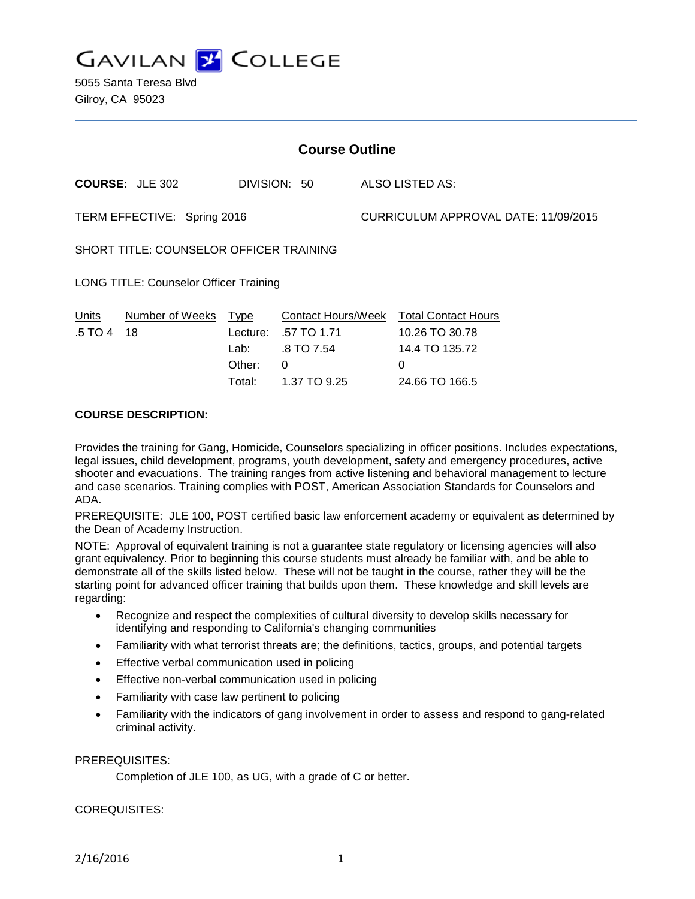**GAVILAN Y COLLEGE** 

5055 Santa Teresa Blvd Gilroy, CA 95023

| <b>Course Outline</b>                         |                                             |                                                      |  |                                                                     |  |
|-----------------------------------------------|---------------------------------------------|------------------------------------------------------|--|---------------------------------------------------------------------|--|
| <b>COURSE: JLE 302</b>                        |                                             | DIVISION: 50                                         |  | ALSO LISTED AS:                                                     |  |
| TERM EFFECTIVE: Spring 2016                   |                                             |                                                      |  | CURRICULUM APPROVAL DATE: 11/09/2015                                |  |
| SHORT TITLE: COUNSELOR OFFICER TRAINING       |                                             |                                                      |  |                                                                     |  |
| <b>LONG TITLE: Counselor Officer Training</b> |                                             |                                                      |  |                                                                     |  |
| Number of Weeks<br>Units<br>.5 TO 4<br>18     | <b>Type</b><br>Lecture:<br>Lab: _<br>Other: | Contact Hours/Week<br>.57 TO 1.71<br>.8 TO 7.54<br>0 |  | <b>Total Contact Hours</b><br>10.26 TO 30.78<br>14.4 TO 135.72<br>0 |  |

### **COURSE DESCRIPTION:**

Provides the training for Gang, Homicide, Counselors specializing in officer positions. Includes expectations, legal issues, child development, programs, youth development, safety and emergency procedures, active shooter and evacuations. The training ranges from active listening and behavioral management to lecture and case scenarios. Training complies with POST, American Association Standards for Counselors and ADA.

Total: 1.37 TO 9.25 24.66 TO 166.5

PREREQUISITE: JLE 100, POST certified basic law enforcement academy or equivalent as determined by the Dean of Academy Instruction.

NOTE: Approval of equivalent training is not a guarantee state regulatory or licensing agencies will also grant equivalency. Prior to beginning this course students must already be familiar with, and be able to demonstrate all of the skills listed below. These will not be taught in the course, rather they will be the starting point for advanced officer training that builds upon them. These knowledge and skill levels are regarding:

- Recognize and respect the complexities of cultural diversity to develop skills necessary for identifying and responding to California's changing communities
- Familiarity with what terrorist threats are; the definitions, tactics, groups, and potential targets
- Effective verbal communication used in policing
- Effective non-verbal communication used in policing
- Familiarity with case law pertinent to policing
- Familiarity with the indicators of gang involvement in order to assess and respond to gang-related criminal activity.

#### PREREQUISITES:

Completion of JLE 100, as UG, with a grade of C or better.

#### COREQUISITES: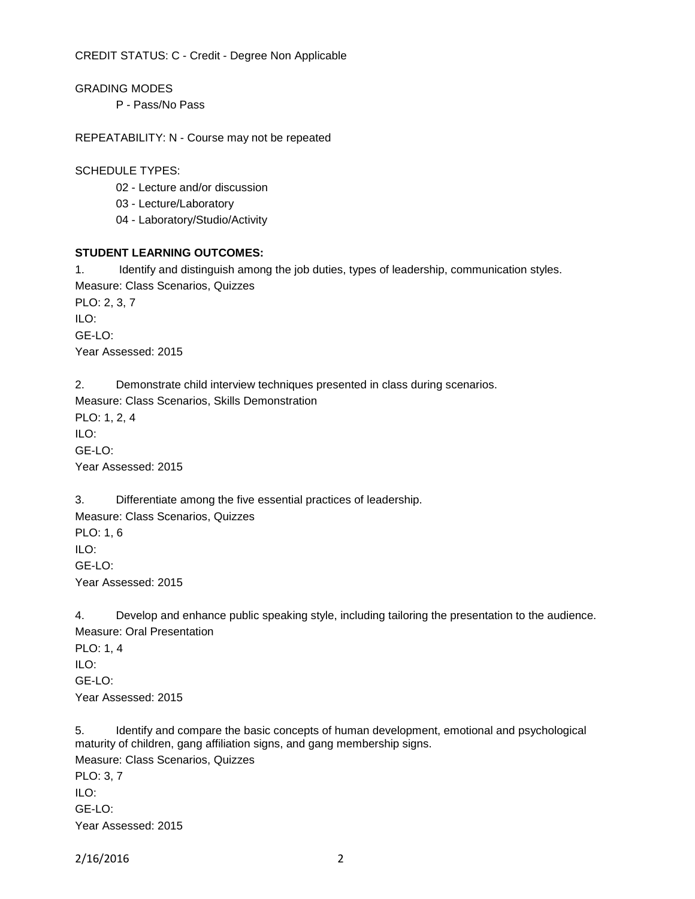CREDIT STATUS: C - Credit - Degree Non Applicable

GRADING MODES

P - Pass/No Pass

REPEATABILITY: N - Course may not be repeated

SCHEDULE TYPES:

02 - Lecture and/or discussion

03 - Lecture/Laboratory

04 - Laboratory/Studio/Activity

### **STUDENT LEARNING OUTCOMES:**

1. Identify and distinguish among the job duties, types of leadership, communication styles. Measure: Class Scenarios, Quizzes PLO: 2, 3, 7 ILO: GE-LO: Year Assessed: 2015

2. Demonstrate child interview techniques presented in class during scenarios.

Measure: Class Scenarios, Skills Demonstration PLO: 1, 2, 4

ILO: GE-LO:

Year Assessed: 2015

3. Differentiate among the five essential practices of leadership. Measure: Class Scenarios, Quizzes PLO: 1, 6 ILO:  $GF-I O<sup>2</sup>$ 

Year Assessed: 2015

4. Develop and enhance public speaking style, including tailoring the presentation to the audience. Measure: Oral Presentation PLO: 1, 4  $\mathsf{I} \mathsf{I}$  O: GE-LO: Year Assessed: 2015

5. Identify and compare the basic concepts of human development, emotional and psychological maturity of children, gang affiliation signs, and gang membership signs. Measure: Class Scenarios, Quizzes PLO: 3, 7 ILO:  $GF-I O<sup>2</sup>$ 

Year Assessed: 2015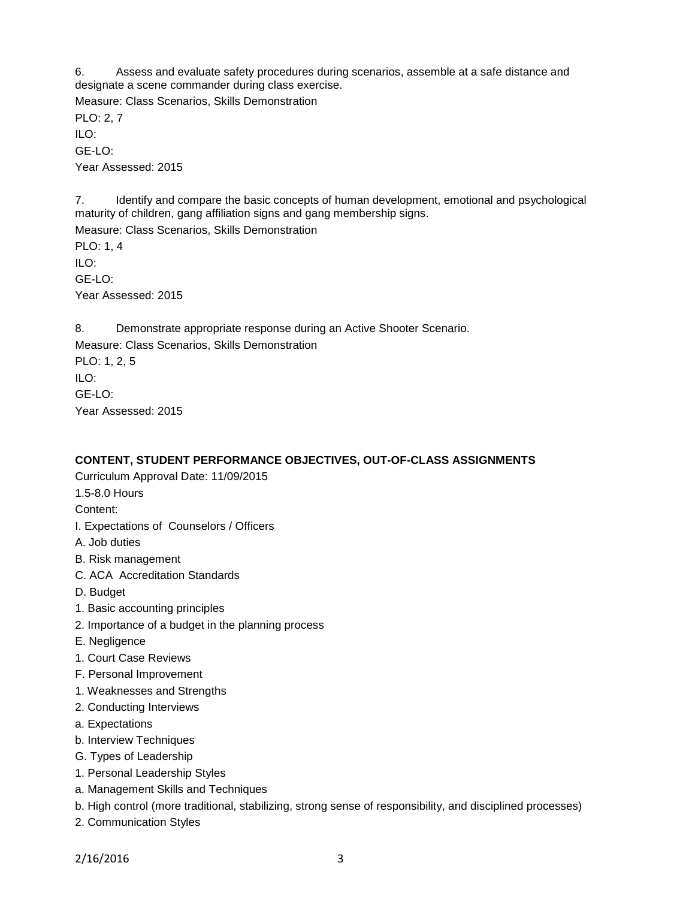6. Assess and evaluate safety procedures during scenarios, assemble at a safe distance and designate a scene commander during class exercise. Measure: Class Scenarios, Skills Demonstration PLO: 2, 7 ILO: GE-LO: Year Assessed: 2015

7. Identify and compare the basic concepts of human development, emotional and psychological maturity of children, gang affiliation signs and gang membership signs.

Measure: Class Scenarios, Skills Demonstration PLO: 1, 4 ILO: GE-LO: Year Assessed: 2015

8. Demonstrate appropriate response during an Active Shooter Scenario. Measure: Class Scenarios, Skills Demonstration PLO: 1, 2, 5 ILO: GE-LO: Year Assessed: 2015

## **CONTENT, STUDENT PERFORMANCE OBJECTIVES, OUT-OF-CLASS ASSIGNMENTS**

- Curriculum Approval Date: 11/09/2015
- 1.5-8.0 Hours
- Content:
- I. Expectations of Counselors / Officers
- A. Job duties
- B. Risk management
- C. ACA Accreditation Standards
- D. Budget
- 1. Basic accounting principles
- 2. Importance of a budget in the planning process
- E. Negligence
- 1. Court Case Reviews
- F. Personal Improvement
- 1. Weaknesses and Strengths
- 2. Conducting Interviews
- a. Expectations
- b. Interview Techniques
- G. Types of Leadership
- 1. Personal Leadership Styles
- a. Management Skills and Techniques
- b. High control (more traditional, stabilizing, strong sense of responsibility, and disciplined processes)
- 2. Communication Styles

2/16/2016 3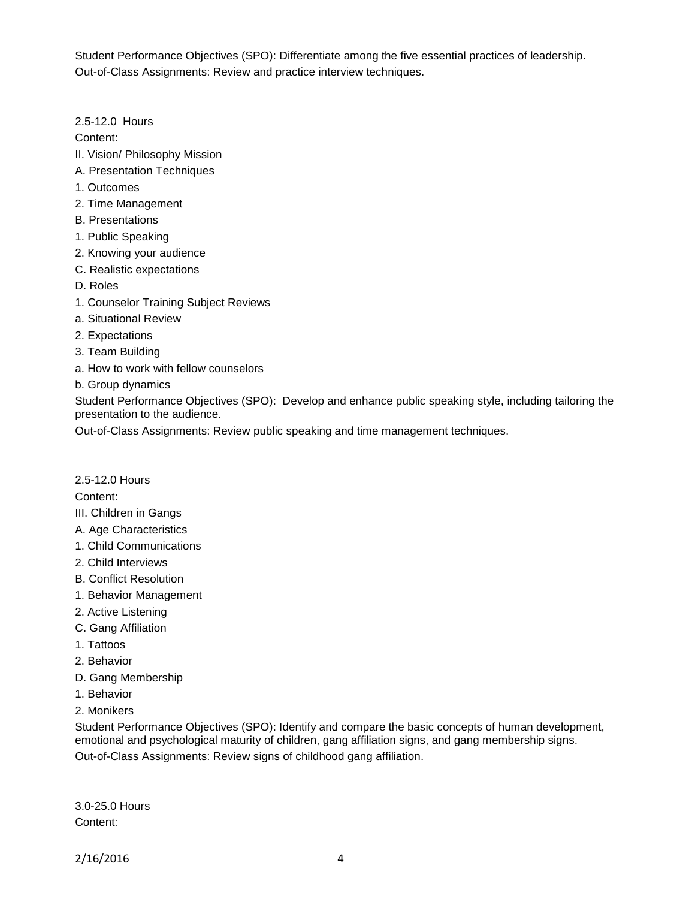Student Performance Objectives (SPO): Differentiate among the five essential practices of leadership. Out-of-Class Assignments: Review and practice interview techniques.

2.5-12.0 Hours

Content:

- II. Vision/ Philosophy Mission
- A. Presentation Techniques
- 1. Outcomes
- 2. Time Management
- B. Presentations
- 1. Public Speaking
- 2. Knowing your audience
- C. Realistic expectations
- D. Roles
- 1. Counselor Training Subject Reviews
- a. Situational Review
- 2. Expectations
- 3. Team Building
- a. How to work with fellow counselors
- b. Group dynamics

Student Performance Objectives (SPO): Develop and enhance public speaking style, including tailoring the presentation to the audience.

Out-of-Class Assignments: Review public speaking and time management techniques.

2.5-12.0 Hours

Content:

- III. Children in Gangs
- A. Age Characteristics
- 1. Child Communications
- 2. Child Interviews
- B. Conflict Resolution
- 1. Behavior Management
- 2. Active Listening
- C. Gang Affiliation
- 1. Tattoos
- 2. Behavior
- D. Gang Membership
- 1. Behavior
- 2. Monikers

Student Performance Objectives (SPO): Identify and compare the basic concepts of human development, emotional and psychological maturity of children, gang affiliation signs, and gang membership signs. Out-of-Class Assignments: Review signs of childhood gang affiliation.

3.0-25.0 Hours Content: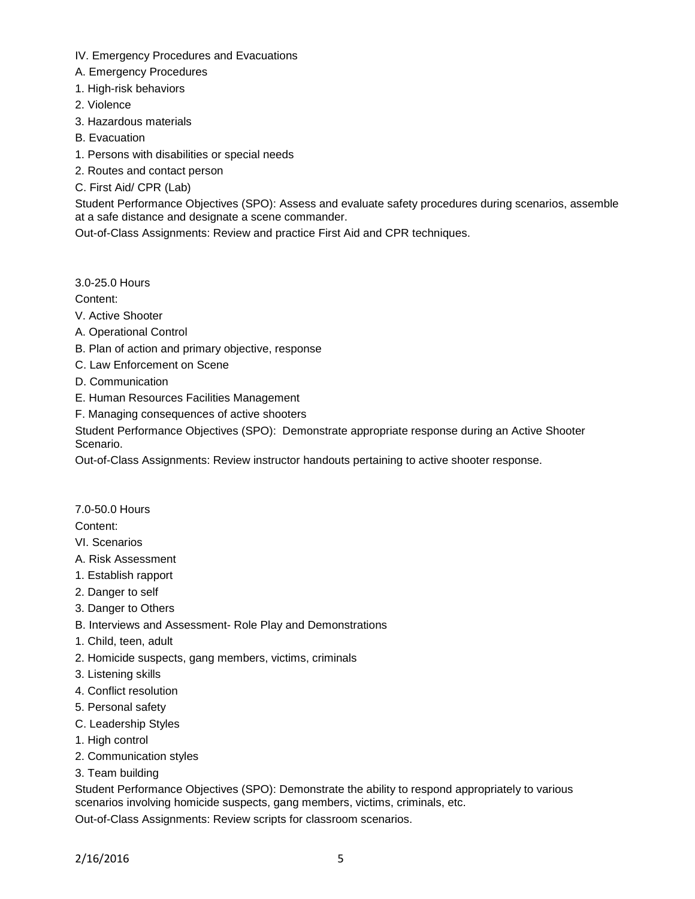- IV. Emergency Procedures and Evacuations
- A. Emergency Procedures
- 1. High-risk behaviors
- 2. Violence
- 3. Hazardous materials
- B. Evacuation
- 1. Persons with disabilities or special needs
- 2. Routes and contact person
- C. First Aid/ CPR (Lab)

Student Performance Objectives (SPO): Assess and evaluate safety procedures during scenarios, assemble at a safe distance and designate a scene commander.

Out-of-Class Assignments: Review and practice First Aid and CPR techniques.

3.0-25.0 Hours

Content:

- V. Active Shooter
- A. Operational Control
- B. Plan of action and primary objective, response
- C. Law Enforcement on Scene
- D. Communication
- E. Human Resources Facilities Management
- F. Managing consequences of active shooters

Student Performance Objectives (SPO): Demonstrate appropriate response during an Active Shooter Scenario.

Out-of-Class Assignments: Review instructor handouts pertaining to active shooter response.

7.0-50.0 Hours

Content:

- VI. Scenarios
- A. Risk Assessment
- 1. Establish rapport
- 2. Danger to self
- 3. Danger to Others
- B. Interviews and Assessment- Role Play and Demonstrations
- 1. Child, teen, adult
- 2. Homicide suspects, gang members, victims, criminals
- 3. Listening skills
- 4. Conflict resolution
- 5. Personal safety
- C. Leadership Styles
- 1. High control
- 2. Communication styles
- 3. Team building

Student Performance Objectives (SPO): Demonstrate the ability to respond appropriately to various scenarios involving homicide suspects, gang members, victims, criminals, etc.

Out-of-Class Assignments: Review scripts for classroom scenarios.

2/16/2016 5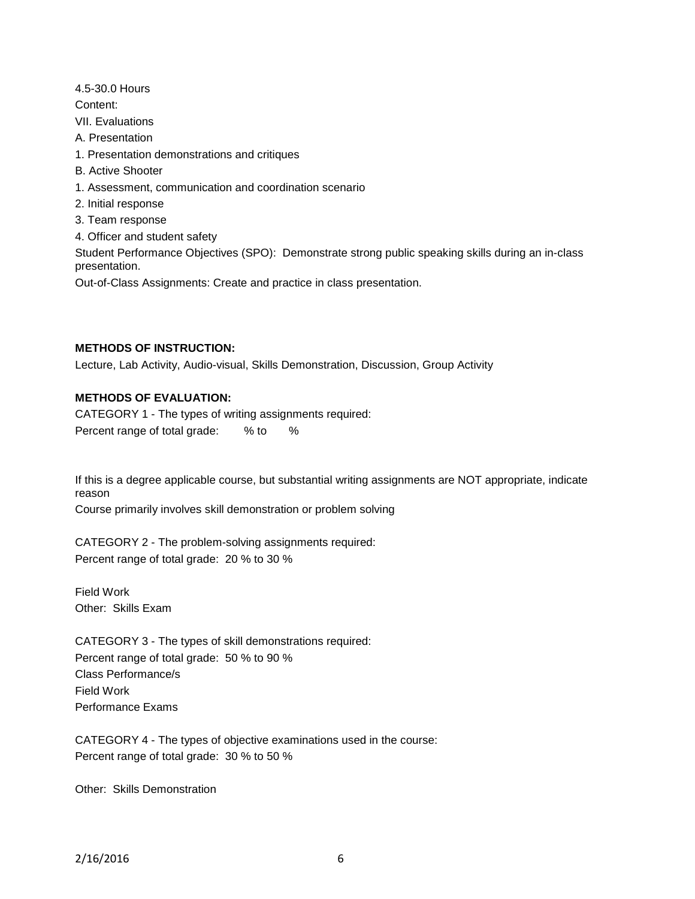4.5-30.0 Hours

Content:

VII. Evaluations

- A. Presentation
- 1. Presentation demonstrations and critiques
- B. Active Shooter
- 1. Assessment, communication and coordination scenario
- 2. Initial response
- 3. Team response
- 4. Officer and student safety

Student Performance Objectives (SPO): Demonstrate strong public speaking skills during an in-class presentation.

Out-of-Class Assignments: Create and practice in class presentation.

# **METHODS OF INSTRUCTION:**

Lecture, Lab Activity, Audio-visual, Skills Demonstration, Discussion, Group Activity

# **METHODS OF EVALUATION:**

CATEGORY 1 - The types of writing assignments required: Percent range of total grade: % to %

If this is a degree applicable course, but substantial writing assignments are NOT appropriate, indicate reason

Course primarily involves skill demonstration or problem solving

CATEGORY 2 - The problem-solving assignments required: Percent range of total grade: 20 % to 30 %

Field Work Other: Skills Exam

CATEGORY 3 - The types of skill demonstrations required: Percent range of total grade: 50 % to 90 % Class Performance/s Field Work Performance Exams

CATEGORY 4 - The types of objective examinations used in the course: Percent range of total grade: 30 % to 50 %

Other: Skills Demonstration